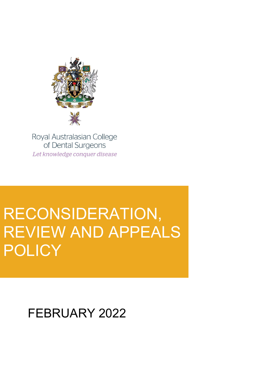

Royal Australasian College of Dental Surgeons Let knowledge conquer disease

# RECONSIDERATION, REVIEW AND APPEALS POLICY

FEBRUARY 2022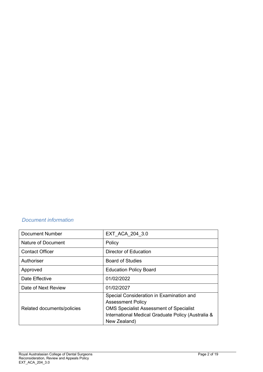## *Document information*

| <b>Document Number</b>     | EXT ACA 204 3.0                                                                                                                                                                              |
|----------------------------|----------------------------------------------------------------------------------------------------------------------------------------------------------------------------------------------|
| Nature of Document         | Policy                                                                                                                                                                                       |
| <b>Contact Officer</b>     | <b>Director of Education</b>                                                                                                                                                                 |
| Authoriser                 | <b>Board of Studies</b>                                                                                                                                                                      |
| Approved                   | <b>Education Policy Board</b>                                                                                                                                                                |
| Date Effective             | 01/02/2022                                                                                                                                                                                   |
| Date of Next Review        | 01/02/2027                                                                                                                                                                                   |
| Related documents/policies | Special Consideration in Examination and<br><b>Assessment Policy</b><br><b>OMS Specialist Assessment of Specialist</b><br>International Medical Graduate Policy (Australia &<br>New Zealand) |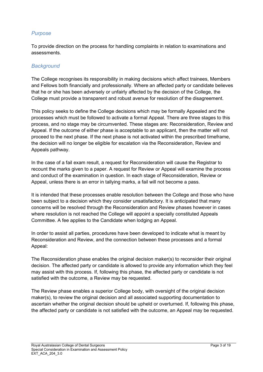## *Purpose*

To provide direction on the process for handling complaints in relation to examinations and assessments.

#### *Background*

The College recognises its responsibility in making decisions which affect trainees, Members and Fellows both financially and professionally. Where an affected party or candidate believes that he or she has been adversely or unfairly affected by the decision of the College, the College must provide a transparent and robust avenue for resolution of the disagreement.

This policy seeks to define the College decisions which may be formally Appealed and the processes which must be followed to activate a formal Appeal. There are three stages to this process, and no stage may be circumvented. These stages are: Reconsideration, Review and Appeal. If the outcome of either phase is acceptable to an applicant, then the matter will not proceed to the next phase. If the next phase is not activated within the prescribed timeframe, the decision will no longer be eligible for escalation via the Reconsideration, Review and Appeals pathway.

In the case of a fail exam result, a request for Reconsideration will cause the Registrar to recount the marks given to a paper. A request for Review or Appeal will examine the process and conduct of the examination in question. In each stage of Reconsideration, Review or Appeal, unless there is an error in tallying marks, a fail will not become a pass.

It is intended that these processes enable resolution between the College and those who have been subject to a decision which they consider unsatisfactory. It is anticipated that many concerns will be resolved through the Reconsideration and Review phases however in cases where resolution is not reached the College will appoint a specially constituted Appeals Committee. A fee applies to the Candidate when lodging an Appeal.

In order to assist all parties, procedures have been developed to indicate what is meant by Reconsideration and Review, and the connection between these processes and a formal Appeal:

The Reconsideration phase enables the original decision maker(s) to reconsider their original decision. The affected party or candidate is allowed to provide any information which they feel may assist with this process. If, following this phase, the affected party or candidate is not satisfied with the outcome, a Review may be requested.

The Review phase enables a superior College body, with oversight of the original decision maker(s), to review the original decision and all associated supporting documentation to ascertain whether the original decision should be upheld or overturned. If, following this phase, the affected party or candidate is not satisfied with the outcome, an Appeal may be requested.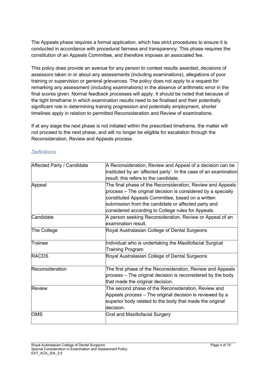The Appeals phase requires a formal application, which has strict procedures to ensure it is conducted in accordance with procedural fairness and transparency. This phase requires the constitution of an Appeals Committee, and therefore imposes an associated fee.

This policy does provide an avenue for any person to contest results awarded, decisions of assessors taken in or about any assessments (including examinations), allegations of poor training or supervision or general grievances. The policy does not apply to a request for remarking any assessment (including examinations) in the absence of arithmetic error in the final scores given. Normal feedback processes will apply. It should be noted that because of the tight timeframe in which examination results need to be finalised and their potentially significant role in determining training progression and potentially employment, shorter timelines apply in relation to permitted Reconsideration and Review of examinations.

If at any stage the next phase is not initiated within the prescribed timeframe, the matter will not proceed to the next phase, and will no longer be eligible for escalation through the Reconsideration, Review and Appeals process.

| Affected Party / Candidate | A Reconsideration, Review and Appeal of a decision can be        |
|----------------------------|------------------------------------------------------------------|
|                            | instituted by an 'affected party'. In the case of an examination |
|                            | result, this refers to the candidate.                            |
| Appeal                     | The final phase of the Reconsideration, Review and Appeals       |
|                            | process – The original decision is considered by a specially     |
|                            | constituted Appeals Committee, based on a written                |
|                            | submission from the candidate or affected party and              |
|                            | considered according to College rules for Appeals.               |
| Candidate                  | A person seeking Reconsideration, Review or Appeal of an         |
|                            | lexamination result.                                             |
| The College                | Royal Australasian College of Dental Surgeons                    |
|                            |                                                                  |
| Trainee                    | Individual who is undertaking the Maxillofacial Surgical         |
|                            | Training Program                                                 |
| <b>RACDS</b>               | Royal Australasian College of Dental Surgeons                    |
|                            |                                                                  |
| Reconsideration            | The first phase of the Reconsideration, Review and Appeals       |
|                            | process – The original decision is reconsidered by the body      |
|                            | that made the original decision.                                 |
| Review                     | The second phase of the Reconsideration, Review and              |
|                            | Appeals process – The original decision is reviewed by a         |
|                            | superior body related to the body that made the original         |
|                            | ldecision.                                                       |
| OMS                        | Oral and Maxillofacial Surgery                                   |
|                            |                                                                  |

## *Definitions*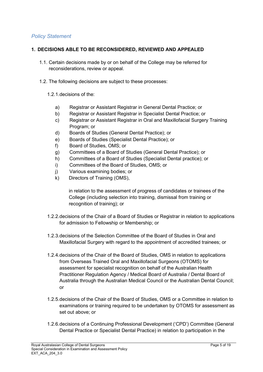## *Policy Statement*

#### **1. DECISIONS ABLE TO BE RECONSIDERED, REVIEWED AND APPEALED**

- 1.1. Certain decisions made by or on behalf of the College may be referred for reconsiderations, review or appeal.
- 1.2. The following decisions are subject to these processes:

#### 1.2.1.decisions of the:

- a) Registrar or Assistant Registrar in General Dental Practice; or
- b) Registrar or Assistant Registrar in Specialist Dental Practice; or
- c) Registrar or Assistant Registrar in Oral and Maxillofacial Surgery Training Program; or
- d) Boards of Studies (General Dental Practice); or
- e) Boards of Studies (Specialist Dental Practice); or
- f) Board of Studies, OMS; or
- g) Committees of a Board of Studies (General Dental Practice); or
- h) Committees of a Board of Studies (Specialist Dental practice); or
- i) Committees of the Board of Studies, OMS; or
- j) Various examining bodies; or
- k) Directors of Training (OMS),

in relation to the assessment of progress of candidates or trainees of the College (including selection into training, dismissal from training or recognition of training); or

- 1.2.2.decisions of the Chair of a Board of Studies or Registrar in relation to applications for admission to Fellowship or Membership; or
- 1.2.3.decisions of the Selection Committee of the Board of Studies in Oral and Maxillofacial Surgery with regard to the appointment of accredited trainees; or
- 1.2.4.decisions of the Chair of the Board of Studies, OMS in relation to applications from Overseas Trained Oral and Maxillofacial Surgeons (OTOMS) for assessment for specialist recognition on behalf of the Australian Health Practitioner Regulation Agency / Medical Board of Australia / Dental Board of Australia through the Australian Medical Council or the Australian Dental Council; or
- 1.2.5.decisions of the Chair of the Board of Studies, OMS or a Committee in relation to examinations or training required to be undertaken by OTOMS for assessment as set out above; or
- 1.2.6.decisions of a Continuing Professional Development ('CPD') Committee (General Dental Practice or Specialist Dental Practice) in relation to participation in the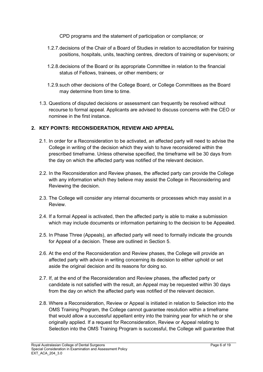CPD programs and the statement of participation or compliance; or

- 1.2.7.decisions of the Chair of a Board of Studies in relation to accreditation for training positions, hospitals, units, teaching centres, directors of training or supervisors; or
- 1.2.8.decisions of the Board or its appropriate Committee in relation to the financial status of Fellows, trainees, or other members; or
- 1.2.9.such other decisions of the College Board, or College Committees as the Board may determine from time to time.
- 1.3. Questions of disputed decisions or assessment can frequently be resolved without recourse to formal appeal. Applicants are advised to discuss concerns with the CEO or nominee in the first instance.

#### **2. KEY POINTS: RECONSIDERATION, REVIEW AND APPEAL**

- 2.1. In order for a Reconsideration to be activated, an affected party will need to advise the College in writing of the decision which they wish to have reconsidered within the prescribed timeframe. Unless otherwise specified, the timeframe will be 30 days from the day on which the affected party was notified of the relevant decision.
- 2.2. In the Reconsideration and Review phases, the affected party can provide the College with any information which they believe may assist the College in Reconsidering and Reviewing the decision.
- 2.3. The College will consider any internal documents or processes which may assist in a Review.
- 2.4. If a formal Appeal is activated, then the affected party is able to make a submission which may include documents or information pertaining to the decision to be Appealed.
- 2.5. In Phase Three (Appeals), an affected party will need to formally indicate the grounds for Appeal of a decision. These are outlined in Section 5.
- 2.6. At the end of the Reconsideration and Review phases, the College will provide an affected party with advice in writing concerning its decision to either uphold or set aside the original decision and its reasons for doing so.
- 2.7. If, at the end of the Reconsideration and Review phases, the affected party or candidate is not satisfied with the result, an Appeal may be requested within 30 days from the day on which the affected party was notified of the relevant decision.
- 2.8. Where a Reconsideration, Review or Appeal is initiated in relation to Selection into the OMS Training Program, the College cannot guarantee resolution within a timeframe that would allow a successful appellant entry into the training year for which he or she originally applied. If a request for Reconsideration, Review or Appeal relating to Selection into the OMS Training Program is successful, the College will guarantee that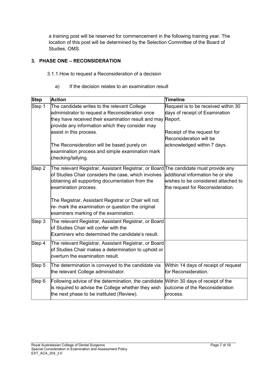a training post will be reserved for commencement in the following training year. The location of this post will be determined by the Selection Committee of the Board of Studies, OMS.

## **3. PHASE ONE – RECONSIDERATION**

- 3.1.1.How to request a Reconsideration of a decision
	- a) If the decision relates to an examination result

| <b>Step</b> | <b>Action</b>                                                                                                                                                                                                                                | Timeline                                                                                                                       |
|-------------|----------------------------------------------------------------------------------------------------------------------------------------------------------------------------------------------------------------------------------------------|--------------------------------------------------------------------------------------------------------------------------------|
| Step 1      | The candidate writes to the relevant College<br>administrator to request a Reconsideration once<br>they have received their examination result and may Report.<br>provide any information which they consider may<br>assist in this process. | Request is to be received within 30<br>days of receipt of Examination<br>Receipt of the request for<br>Reconsideration will be |
|             | The Reconsideration will be based purely on<br>examination process and simple examination mark<br>checking/tallying.                                                                                                                         | acknowledged within 7 days.                                                                                                    |
| Step 2      | The relevant Registrar, Assistant Registrar, or Board The candidate must provide any<br>of Studies Chair considers the case, which involves<br>obtaining all supporting documentation from the<br>examination process.                       | additional information he or she<br>wishes to be considered attached to<br>the request for Reconsideration.                    |
|             | The Registrar, Assistant Registrar or Chair will not<br>re- mark the examination or question the original<br>examiners marking of the examination.                                                                                           |                                                                                                                                |
| Step 3      | The relevant Registrar, Assistant Registrar, or Board<br>$\operatorname{\mathsf{b}}$ f Studies Chair will confer with the<br>Examiners who determined the candidate's result.                                                                |                                                                                                                                |
| Step 4      | The relevant Registrar, Assistant Registrar, or Board<br>of Studies Chair makes a determination to uphold or<br>loverturn the examination result.                                                                                            |                                                                                                                                |
| Step 5      | The determination is conveyed to the candidate via<br>the relevant College administrator.                                                                                                                                                    | Within 14 days of receipt of request<br>for Reconsideration.                                                                   |
| Step 6      | Following advice of the determination, the candidate Mithin 30 days of receipt of the<br>is required to advise the College whether they wish<br>the next phase to be instituted (Review).                                                    | outcome of the Reconsideration<br>process.                                                                                     |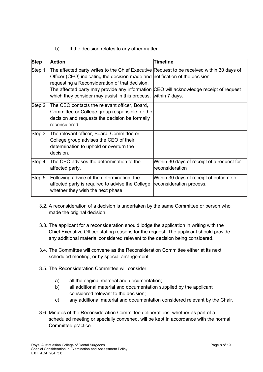## b) If the decision relates to any other matter

| <b>Step</b> | <b>Action</b>                                                                                                                                                                                                                                                                                                                                                                           | Timeline                                                            |
|-------------|-----------------------------------------------------------------------------------------------------------------------------------------------------------------------------------------------------------------------------------------------------------------------------------------------------------------------------------------------------------------------------------------|---------------------------------------------------------------------|
| Step 1      | The affected party writes to the Chief Executive Request to be received within 30 days of<br>Officer (CEO) indicating the decision made and notification of the decision.<br>requesting a Reconsideration of that decision.<br>The affected party may provide any information CEO will acknowledge receipt of request<br>which they consider may assist in this process. within 7 days. |                                                                     |
| Step 2      | The CEO contacts the relevant officer, Board,<br>Committee or College group responsible for the<br>decision and requests the decision be formally<br>lreconsidered                                                                                                                                                                                                                      |                                                                     |
| Step 3      | The relevant officer, Board, Committee or<br>College group advises the CEO of their<br>determination to uphold or overturn the<br>decision.                                                                                                                                                                                                                                             |                                                                     |
| Step 4      | The CEO advises the determination to the<br>affected party.                                                                                                                                                                                                                                                                                                                             | Within 30 days of receipt of a request for<br>lreconsideration      |
| Step 5      | Following advice of the determination, the<br>affected party is required to advise the College<br>whether they wish the next phase                                                                                                                                                                                                                                                      | Within 30 days of receipt of outcome of<br>reconsideration process. |

- 3.2. A reconsideration of a decision is undertaken by the same Committee or person who made the original decision.
- 3.3. The applicant for a reconsideration should lodge the application in writing with the Chief Executive Officer stating reasons for the request. The applicant should provide any additional material considered relevant to the decision being considered.
- 3.4. The Committee will convene as the Reconsideration Committee either at its next scheduled meeting, or by special arrangement.
- 3.5. The Reconsideration Committee will consider:
	- a) all the original material and documentation;
	- b) all additional material and documentation supplied by the applicant considered relevant to the decision;
	- c) any additional material and documentation considered relevant by the Chair.
- 3.6. Minutes of the Reconsideration Committee deliberations, whether as part of a scheduled meeting or specially convened, will be kept in accordance with the normal Committee practice.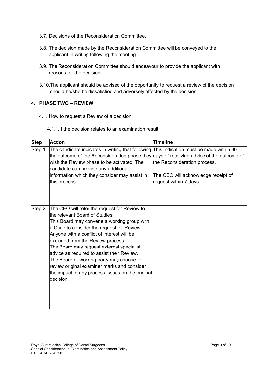- 3.7. Decisions of the Reconsideration Committee.
- 3.8. The decision made by the Reconsideration Committee will be conveyed to the applicant in writing following the meeting.
- 3.9. The Reconsideration Committee should endeavour to provide the applicant with reasons for the decision.
- 3.10.The applicant should be advised of the opportunity to request a review of the decision should he/she be dissatisfied and adversely affected by the decision.

## **4. PHASE TWO – REVIEW**

4.1. How to request a Review of a decision

#### 4.1.1.If the decision relates to an examination result

| <b>Step</b> | <b>Action</b>                                                                                                                                                                                                                                                                                                                                                                                                                                                                                                          | Timeline                                                                                                                                |
|-------------|------------------------------------------------------------------------------------------------------------------------------------------------------------------------------------------------------------------------------------------------------------------------------------------------------------------------------------------------------------------------------------------------------------------------------------------------------------------------------------------------------------------------|-----------------------------------------------------------------------------------------------------------------------------------------|
| Step 1      | The candidate indicates in writing that following<br>the outcome of the Reconsideration phase they days of receiving advice of the outcome of<br>wish the Review phase to be activated. The<br>candidate can provide any additional<br>information which they consider may assist in<br>this process.                                                                                                                                                                                                                  | This indication must be made within 30<br>the Reconsideration process.<br>The CEO will acknowledge receipt of<br>request within 7 days. |
| Step 2      | The CEO will refer the request for Review to<br>the relevant Board of Studies.<br>This Board may convene a working group with<br>a Chair to consider the request for Review.<br>Anyone with a conflict of interest will be<br>excluded from the Review process.<br>The Board may request external specialist<br>advice as required to assist their Review.<br>The Board or working party may choose to<br>review original examiner marks and consider<br>the impact of any process issues on the original<br>decision. |                                                                                                                                         |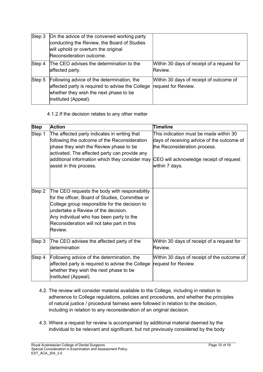| Step 3 | On the advice of the convened working party<br>conducting the Review, the Board of Studies<br>will uphold or overturn the original<br>Reconsideration outcome.   |                                                                |
|--------|------------------------------------------------------------------------------------------------------------------------------------------------------------------|----------------------------------------------------------------|
| Step 4 | The CEO advises the determination to the<br>affected party.                                                                                                      | Within 30 days of receipt of a request for<br>Review.          |
| Step 5 | Following advice of the determination, the<br>affected party is required to advise the College<br>whether they wish the next phase to be<br>instituted (Appeal). | Within 30 days of receipt of outcome of<br>request for Review. |

#### 4.1.2.If the decision relates to any other matter

|                       | <b>Action</b>                                                                                                                                                                                                                                                                                 | Timeline                                                                                                                                                                          |
|-----------------------|-----------------------------------------------------------------------------------------------------------------------------------------------------------------------------------------------------------------------------------------------------------------------------------------------|-----------------------------------------------------------------------------------------------------------------------------------------------------------------------------------|
| <b>Step</b><br>Step 1 | The affected party indicates in writing that<br>following the outcome of the Reconsideration<br>phase they wish the Review phase to be<br>activated. The affected party can provide any<br>additional information which they consider may<br>assist in this process.                          | This indication must be made within 30<br>days of receiving advice of the outcome of<br>the Reconsideration process.<br>CEO will acknowledge receipt of request<br>within 7 days. |
| Step 2                | The CEO requests the body with responsibility<br>for the officer, Board of Studies, Committee or<br>College group responsible for the decision to<br>undertake a Review of the decision.<br>Any individual who has been party to the<br>Reconsideration will not take part in this<br>Review. |                                                                                                                                                                                   |
| Step 3                | The CEO advises the affected party of the<br>ldetermination                                                                                                                                                                                                                                   | Within 30 days of receipt of a request for<br>Review.                                                                                                                             |
| Step 4                | Following advice of the determination, the<br>affected party is required to advise the College<br>whether they wish the next phase to be<br>instituted (Appeal).                                                                                                                              | Within 30 days of receipt of the outcome of<br>request for Review.                                                                                                                |

- 4.2. The review will consider material available to the College, including in relation to adherence to College regulations, policies and procedures, and whether the principles of natural justice / procedural fairness were followed in relation to the decision, including in relation to any reconsideration of an original decision.
- 4.3. Where a request for review is accompanied by additional material deemed by the individual to be relevant and significant, but not previously considered by the body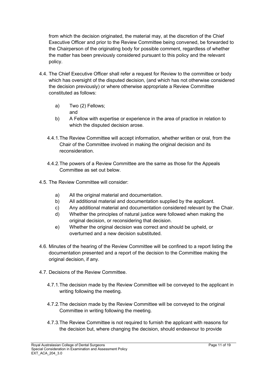from which the decision originated, the material may, at the discretion of the Chief Executive Officer and prior to the Review Committee being convened, be forwarded to the Chairperson of the originating body for possible comment, regardless of whether the matter has been previously considered pursuant to this policy and the relevant policy.

- 4.4. The Chief Executive Officer shall refer a request for Review to the committee or body which has oversight of the disputed decision, (and which has not otherwise considered the decision previously) or where otherwise appropriate a Review Committee constituted as follows:
	- a) Two (2) Fellows; and
	- b) A Fellow with expertise or experience in the area of practice in relation to which the disputed decision arose.
	- 4.4.1.The Review Committee will accept information, whether written or oral, from the Chair of the Committee involved in making the original decision and its reconsideration.
	- 4.4.2.The powers of a Review Committee are the same as those for the Appeals Committee as set out below.
- 4.5. The Review Committee will consider:
	- a) All the original material and documentation.
	- b) All additional material and documentation supplied by the applicant.
	- c) Any additional material and documentation considered relevant by the Chair.
	- d) Whether the principles of natural justice were followed when making the original decision, or reconsidering that decision.
	- e) Whether the original decision was correct and should be upheld, or overturned and a new decision substituted.
- 4.6. Minutes of the hearing of the Review Committee will be confined to a report listing the documentation presented and a report of the decision to the Committee making the original decision, if any.
- 4.7. Decisions of the Review Committee.
	- 4.7.1.The decision made by the Review Committee will be conveyed to the applicant in writing following the meeting.
	- 4.7.2.The decision made by the Review Committee will be conveyed to the original Committee in writing following the meeting.
	- 4.7.3.The Review Committee is not required to furnish the applicant with reasons for the decision but, where changing the decision, should endeavour to provide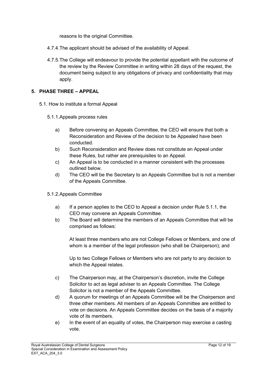reasons to the original Committee.

- 4.7.4.The applicant should be advised of the availability of Appeal.
- 4.7.5.The College will endeavour to provide the potential appellant with the outcome of the review by the Review Committee in writing within 28 days of the request, the document being subject to any obligations of privacy and confidentiality that may apply.

#### **5. PHASE THREE – APPEAL**

- 5.1. How to institute a formal Appeal
	- 5.1.1.Appeals process rules
		- a) Before convening an Appeals Committee, the CEO will ensure that both a Reconsideration and Review of the decision to be Appealed have been conducted.
		- b) Such Reconsideration and Review does not constitute an Appeal under these Rules, but rather are prerequisites to an Appeal.
		- c) An Appeal is to be conducted in a manner consistent with the processes outlined below.
		- d) The CEO will be the Secretary to an Appeals Committee but is not a member of the Appeals Committee.
	- 5.1.2.Appeals Committee
		- a) If a person applies to the CEO to Appeal a decision under Rule 5.1.1, the CEO may convene an Appeals Committee.
		- b) The Board will determine the members of an Appeals Committee that will be comprised as follows:

At least three members who are not College Fellows or Members, and one of whom is a member of the legal profession (who shall be Chairperson); and

Up to two College Fellows or Members who are not party to any decision to which the Appeal relates.

- c) The Chairperson may, at the Chairperson's discretion, invite the College Solicitor to act as legal adviser to an Appeals Committee. The College Solicitor is not a member of the Appeals Committee.
- d) A quorum for meetings of an Appeals Committee will be the Chairperson and three other members. All members of an Appeals Committee are entitled to vote on decisions. An Appeals Committee decides on the basis of a majority vote of its members.
- e) In the event of an equality of votes, the Chairperson may exercise a casting vote.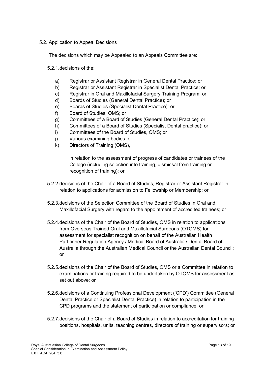#### 5.2. Application to Appeal Decisions

The decisions which may be Appealed to an Appeals Committee are:

5.2.1.decisions of the:

- a) Registrar or Assistant Registrar in General Dental Practice; or
- b) Registrar or Assistant Registrar in Specialist Dental Practice; or
- c) Registrar in Oral and Maxillofacial Surgery Training Program; or
- d) Boards of Studies (General Dental Practice); or
- e) Boards of Studies (Specialist Dental Practice); or
- f) Board of Studies, OMS; or
- g) Committees of a Board of Studies (General Dental Practice); or
- h) Committees of a Board of Studies (Specialist Dental practice); or
- i) Committees of the Board of Studies, OMS; or
- j) Various examining bodies; or
- k) Directors of Training (OMS),

in relation to the assessment of progress of candidates or trainees of the College (including selection into training, dismissal from training or recognition of training); or

- 5.2.2.decisions of the Chair of a Board of Studies, Registrar or Assistant Registrar in relation to applications for admission to Fellowship or Membership; or
- 5.2.3.decisions of the Selection Committee of the Board of Studies in Oral and Maxillofacial Surgery with regard to the appointment of accredited trainees; or
- 5.2.4.decisions of the Chair of the Board of Studies, OMS in relation to applications from Overseas Trained Oral and Maxillofacial Surgeons (OTOMS) for assessment for specialist recognition on behalf of the Australian Health Partitioner Regulation Agency / Medical Board of Australia / Dental Board of Australia through the Australian Medical Council or the Australian Dental Council; or
- 5.2.5.decisions of the Chair of the Board of Studies, OMS or a Committee in relation to examinations or training required to be undertaken by OTOMS for assessment as set out above; or
- 5.2.6.decisions of a Continuing Professional Development ('CPD') Committee (General Dental Practice or Specialist Dental Practice) in relation to participation in the CPD programs and the statement of participation or compliance; or
- 5.2.7.decisions of the Chair of a Board of Studies in relation to accreditation for training positions, hospitals, units, teaching centres, directors of training or supervisors; or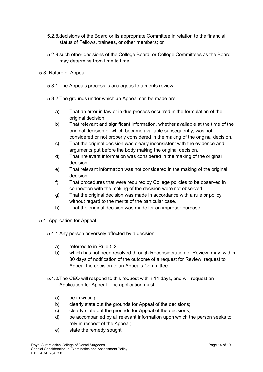- 5.2.8.decisions of the Board or its appropriate Committee in relation to the financial status of Fellows, trainees, or other members; or
- 5.2.9.such other decisions of the College Board, or College Committees as the Board may determine from time to time.
- 5.3. Nature of Appeal
	- 5.3.1.The Appeals process is analogous to a merits review.
	- 5.3.2.The grounds under which an Appeal can be made are:
		- a) That an error in law or in due process occurred in the formulation of the original decision.
		- b) That relevant and significant information, whether available at the time of the original decision or which became available subsequently, was not considered or not properly considered in the making of the original decision.
		- c) That the original decision was clearly inconsistent with the evidence and arguments put before the body making the original decision.
		- d) That irrelevant information was considered in the making of the original decision.
		- e) That relevant information was not considered in the making of the original decision.
		- f) That procedures that were required by College policies to be observed in connection with the making of the decision were not observed.
		- g) That the original decision was made in accordance with a rule or policy without regard to the merits of the particular case.
		- h) That the original decision was made for an improper purpose.
- 5.4. Application for Appeal
	- 5.4.1.Any person adversely affected by a decision;
		- a) referred to in Rule 5.2,
		- b) which has not been resolved through Reconsideration or Review, may, within 30 days of notification of the outcome of a request for Review, request to Appeal the decision to an Appeals Committee.
	- 5.4.2.The CEO will respond to this request within 14 days, and will request an Application for Appeal. The application must:
		- a) be in writing;
		- b) clearly state out the grounds for Appeal of the decisions;
		- c) clearly state out the grounds for Appeal of the decisions;
		- d) be accompanied by all relevant information upon which the person seeks to rely in respect of the Appeal;
		- e) state the remedy sought;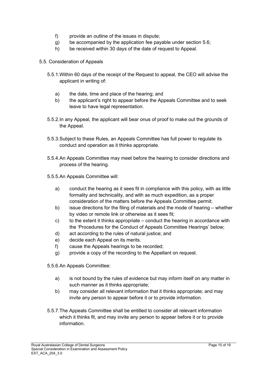- f) provide an outline of the issues in dispute;
- g) be accompanied by the application fee payable under section 5.6;
- h) be received within 30 days of the date of request to Appeal.
- 5.5. Consideration of Appeals
	- 5.5.1.Within 60 days of the receipt of the Request to appeal, the CEO will advise the applicant in writing of:
		- a) the date, time and place of the hearing; and
		- b) the applicant's right to appear before the Appeals Committee and to seek leave to have legal representation.
	- 5.5.2.In any Appeal, the applicant will bear onus of proof to make out the grounds of the Appeal.
	- 5.5.3.Subject to these Rules, an Appeals Committee has full power to regulate its conduct and operation as it thinks appropriate.
	- 5.5.4.An Appeals Committee may meet before the hearing to consider directions and process of the hearing.
	- 5.5.5.An Appeals Committee will:
		- a) conduct the hearing as it sees fit in compliance with this policy, with as little formality and technicality, and with as much expedition, as a proper consideration of the matters before the Appeals Committee permit;
		- b) issue directions for the filing of materials and the mode of hearing whether by video or remote link or otherwise as it sees fit;
		- c) to the extent it thinks appropriate conduct the hearing in accordance with the 'Procedures for the Conduct of Appeals Committee Hearings' below;
		- d) act according to the rules of natural justice; and
		- e) decide each Appeal on its merits.
		- f) cause the Appeals hearings to be recorded;
		- g) provide a copy of the recording to the Appellant on request.
	- 5.5.6.An Appeals Committee:
		- a) is not bound by the rules of evidence but may inform itself on any matter in such manner as it thinks appropriate;
		- b) may consider all relevant information that it thinks appropriate; and may invite any person to appear before it or to provide information.
	- 5.5.7.The Appeals Committee shall be entitled to consider all relevant information which it thinks fit, and may invite any person to appear before it or to provide information.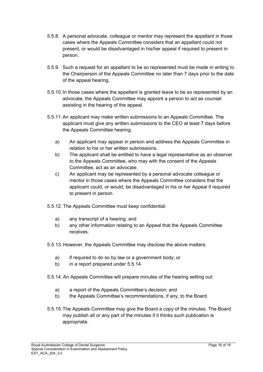- 5.5.8. A personal advocate, colleague or mentor may represent the appellant in those cases where the Appeals Committee considers that an appellant could not present, or would be disadvantaged in his/her appeal if required to present in person.
- 5.5.9. Such a request for an appellant to be so represented must be made in writing to the Chairperson of the Appeals Committee no later than 7 days prior to the date of the appeal hearing.
- 5.5.10.In those cases where the appellant is granted leave to be so represented by an advocate, the Appeals Committee may appoint a person to act as counsel assisting in the hearing of the appeal.
- 5.5.11.An applicant may make written submissions to an Appeals Committee. The applicant must give any written submissions to the CEO at least 7 days before the Appeals Committee hearing.
	- a) An applicant may appear in person and address the Appeals Committee in relation to his or her written submissions.
	- b) The applicant shall be entitled to have a legal representative as an observer to the Appeals Committee, who may with the consent of the Appeals Committee, act as an advocate.
	- c) An applicant may be represented by a personal advocate colleague or mentor in those cases where the Appeals Committee considers that the applicant could, or would, be disadvantaged in his or her Appeal if required to present in person.
- 5.5.12. The Appeals Committee must keep confidential:
	- a) any transcript of a hearing; and
	- b) any other information relating to an Appeal that the Appeals Committee receives.
- 5.5.13. However, the Appeals Committee may disclose the above matters:
	- a) if required to do so by law or a government body; or
	- b) in a report prepared under 5.5.14.
- 5.5.14. An Appeals Committee will prepare minutes of the hearing setting out:
	- a) a report of the Appeals Committee's decision; and
	- b) the Appeals Committee's recommendations, if any, to the Board.
- 5.5.15.The Appeals Committee may give the Board a copy of the minutes. The Board may publish all or any part of the minutes if it thinks such publication is appropriate.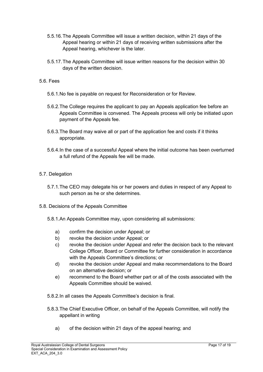- 5.5.16.The Appeals Committee will issue a written decision, within 21 days of the Appeal hearing or within 21 days of receiving written submissions after the Appeal hearing, whichever is the later.
- 5.5.17.The Appeals Committee will issue written reasons for the decision within 30 days of the written decision.
- 5.6. Fees
	- 5.6.1.No fee is payable on request for Reconsideration or for Review.
	- 5.6.2.The College requires the applicant to pay an Appeals application fee before an Appeals Committee is convened. The Appeals process will only be initiated upon payment of the Appeals fee.
	- 5.6.3.The Board may waive all or part of the application fee and costs if it thinks appropriate.
	- 5.6.4.In the case of a successful Appeal where the initial outcome has been overturned a full refund of the Appeals fee will be made.
- 5.7. Delegation
	- 5.7.1.The CEO may delegate his or her powers and duties in respect of any Appeal to such person as he or she determines.
- 5.8. Decisions of the Appeals Committee
	- 5.8.1.An Appeals Committee may, upon considering all submissions:
		- a) confirm the decision under Appeal; or
		- b) revoke the decision under Appeal; or
		- c) revoke the decision under Appeal and refer the decision back to the relevant College Officer, Board or Committee for further consideration in accordance with the Appeals Committee's directions; or
		- d) revoke the decision under Appeal and make recommendations to the Board on an alternative decision; or
		- e) recommend to the Board whether part or all of the costs associated with the Appeals Committee should be waived.
	- 5.8.2.In all cases the Appeals Committee's decision is final.
	- 5.8.3.The Chief Executive Officer, on behalf of the Appeals Committee, will notify the appellant in writing
		- a) of the decision within 21 days of the appeal hearing; and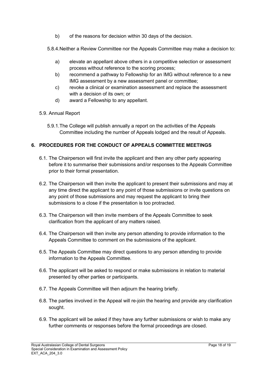b) of the reasons for decision within 30 days of the decision.

5.8.4.Neither a Review Committee nor the Appeals Committee may make a decision to:

- a) elevate an appellant above others in a competitive selection or assessment process without reference to the scoring process;
- b) recommend a pathway to Fellowship for an IMG without reference to a new IMG assessment by a new assessment panel or committee;
- c) revoke a clinical or examination assessment and replace the assessment with a decision of its own; or
- d) award a Fellowship to any appellant.
- 5.9. Annual Report
	- 5.9.1.The College will publish annually a report on the activities of the Appeals Committee including the number of Appeals lodged and the result of Appeals.

## **6. PROCEDURES FOR THE CONDUCT OF APPEALS COMMITTEE MEETINGS**

- 6.1. The Chairperson will first invite the applicant and then any other party appearing before it to summarise their submissions and/or responses to the Appeals Committee prior to their formal presentation.
- 6.2. The Chairperson will then invite the applicant to present their submissions and may at any time direct the applicant to any point of those submissions or invite questions on any point of those submissions and may request the applicant to bring their submissions to a close if the presentation is too protracted.
- 6.3. The Chairperson will then invite members of the Appeals Committee to seek clarification from the applicant of any matters raised.
- 6.4. The Chairperson will then invite any person attending to provide information to the Appeals Committee to comment on the submissions of the applicant.
- 6.5. The Appeals Committee may direct questions to any person attending to provide information to the Appeals Committee.
- 6.6. The applicant will be asked to respond or make submissions in relation to material presented by other parties or participants.
- 6.7. The Appeals Committee will then adjourn the hearing briefly.
- 6.8. The parties involved in the Appeal will re-join the hearing and provide any clarification sought.
- 6.9. The applicant will be asked if they have any further submissions or wish to make any further comments or responses before the formal proceedings are closed.